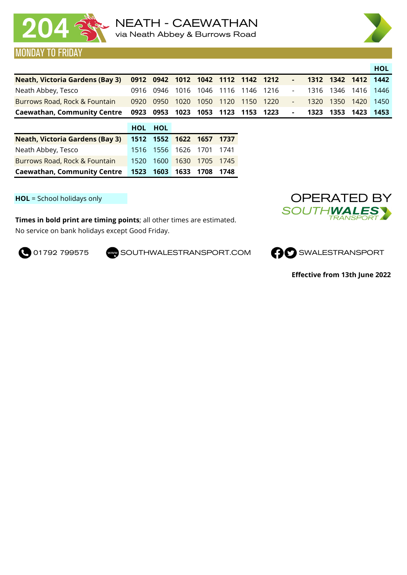

## MONDAY TO FRIDAY



**Caewathan, Community Centre 0923 0953 1023 1053 1123 1153 1223 - 1323 1353 1423 1453**

|                                        | HOL HOL |                          |  |
|----------------------------------------|---------|--------------------------|--|
| <b>Neath, Victoria Gardens (Bay 3)</b> |         | 1512 1552 1622 1657 1737 |  |
| Neath Abbey, Tesco                     |         | 1516 1556 1626 1701 1741 |  |
| Burrows Road, Rock & Fountain          |         | 1520 1600 1630 1705 1745 |  |
| <b>Caewathan, Community Centre</b>     |         | 1523 1603 1633 1708 1748 |  |

**HOL** = School holidays only

No service on bank holidays except Good Friday. **Times in bold print are timing points**; all other times are estimated.

**O 01792 799575** SOUTHWALESTRANSPORT.COM **CO** SWALESTRANSPORT





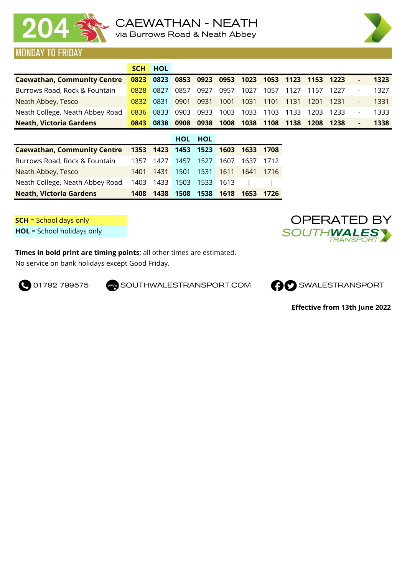



|                                    | <b>SCH</b> | <b>HOL</b>     |            |            |      |           |                |      |      |      |                          |      |
|------------------------------------|------------|----------------|------------|------------|------|-----------|----------------|------|------|------|--------------------------|------|
| <b>Caewathan, Community Centre</b> | 0823       | 0823           | 0853       | 0923       | 0953 |           | 1023 1053 1123 |      | 1153 | 1223 | ٠                        | 1323 |
| Burrows Road, Rock & Fountain      | 0828       | 0827           | 0857       | 0927       | 0957 | 1027      | 1057           | 1127 | 1157 | 1227 | $\overline{\phantom{a}}$ | 1327 |
| Neath Abbey, Tesco                 | 0832       | 0831           | 0901       | 0931       | 1001 | 1031      | 1101           | 1131 | 1201 | 1231 | $\overline{\phantom{a}}$ | 1331 |
| Neath College, Neath Abbey Road    | 0836       | 0833           | 0903       | 0933       | 1003 | 1033      | 1103           | 1133 | 1203 | 1233 | $\overline{\phantom{a}}$ | 1333 |
| <b>Neath, Victoria Gardens</b>     | 0843       | 0838           | 0908       | 0938       | 1008 | 1038      | 1108           | 1138 | 1208 | 1238 | ٠                        | 1338 |
|                                    |            |                | <b>HOL</b> | <b>HOL</b> |      |           |                |      |      |      |                          |      |
| <b>Caewathan, Community Centre</b> |            | 1353 1423 1453 |            | 1523       | 1603 | 1633 1708 |                |      |      |      |                          |      |
| Burrows Road, Rock & Fountain      | 1357       | 1427           | 1457       | 1527       | 1607 | 1637      | 1712           |      |      |      |                          |      |

| <b>Neath, Victoria Gardens</b>                           |  |  | 1408 1438 1508 1538 1618 1653 1726 |  |
|----------------------------------------------------------|--|--|------------------------------------|--|
| Neath College, Neath Abbey Road 1403 1433 1503 1533 1613 |  |  |                                    |  |
| Neath Abbey, Tesco                                       |  |  | 1401 1431 1501 1531 1611 1641 1716 |  |

**SCH** = School days only **HOL** = School holidays only OPERATED BY /TH 1WALI **TRANSF** 

**Times in bold print are timing points**; all other times are estimated. No service on bank holidays except Good Friday.



**O** 01792 799575 SOUTHWALESTRANSPORT.COM **CO** SWALESTRANSPORT

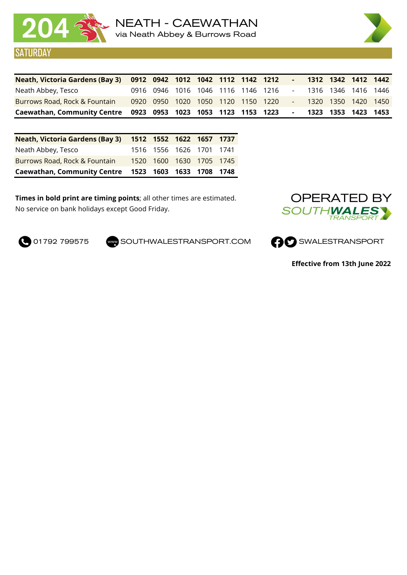

'URDAY



| Neath, Victoria Gardens (Bay 3) 0912 0942 1012 1042 1112 1142 1212 |  |  |  |                                    |        |  | 1312 1342 1412 1442 |  |
|--------------------------------------------------------------------|--|--|--|------------------------------------|--------|--|---------------------|--|
| Neath Abbey, Tesco                                                 |  |  |  | 0916 0946 1016 1046 1116 1146 1216 | $\sim$ |  | 1316 1346 1416 1446 |  |
| Burrows Road, Rock & Fountain                                      |  |  |  | 0920 0950 1020 1050 1120 1150 1220 |        |  | 1320 1350 1420 1450 |  |
| Caewathan, Community Centre 0923 0953 1023 1053 1123 1153 1223     |  |  |  |                                    |        |  | 1323 1353 1423 1453 |  |

| Neath, Victoria Gardens (Bay 3) 1512 1552 1622 1657 1737 |  |                          |  |
|----------------------------------------------------------|--|--------------------------|--|
| Neath Abbey, Tesco                                       |  | 1516 1556 1626 1701 1741 |  |
| Burrows Road, Rock & Fountain                            |  | 1520 1600 1630 1705 1745 |  |
| Caewathan, Community Centre 1523 1603 1633 1708 1748     |  |                          |  |

**Times in bold print are timing points**; all other times are estimated. No service on bank holidays except Good Friday.



**O** 01792 799575 SOUTHWALESTRANSPORT.COM **CO** SWALESTRANSPORT